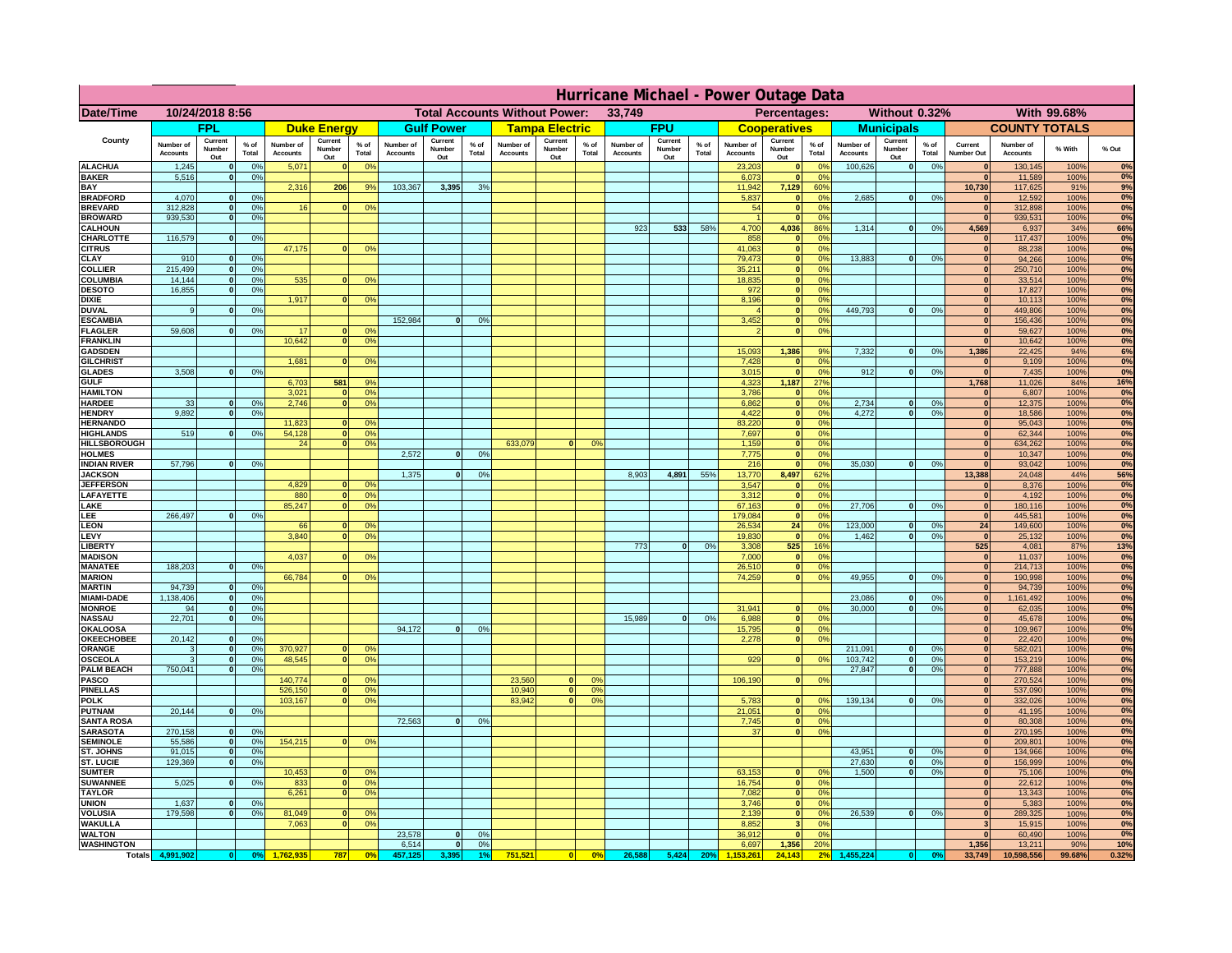|                                       | Hurricane Michael - Power Outage Data |                              |                      |                              |                                 |                      |                                                |                          |                      |                              |                                              |                                  |                              |                          |               |                              |                          |                                               |                              |                          |                 |                              |                              |               |              |
|---------------------------------------|---------------------------------------|------------------------------|----------------------|------------------------------|---------------------------------|----------------------|------------------------------------------------|--------------------------|----------------------|------------------------------|----------------------------------------------|----------------------------------|------------------------------|--------------------------|---------------|------------------------------|--------------------------|-----------------------------------------------|------------------------------|--------------------------|-----------------|------------------------------|------------------------------|---------------|--------------|
| Date/Time                             | 10/24/2018 8:56                       |                              |                      |                              |                                 |                      | <b>Total Accounts Without Power:</b><br>33,749 |                          |                      |                              | With 99.68%<br>Percentages:<br>Without 0.32% |                                  |                              |                          |               |                              |                          |                                               |                              |                          |                 |                              |                              |               |              |
|                                       | <b>FPL</b>                            |                              | <b>Duke Energy</b>   |                              |                                 | <b>Gulf Power</b>    |                                                | <b>Tampa Electric</b>    |                      | <b>FPU</b>                   |                                              | <b>Cooperatives</b>              |                              | <b>Municipals</b>        |               |                              | <b>COUNTY TOTALS</b>     |                                               |                              |                          |                 |                              |                              |               |              |
| County                                | Number of<br><b>Accounts</b>          | Current<br>Number<br>Out     | $%$ of<br>Total      | Number of<br><b>Accounts</b> | Current<br><b>Number</b><br>Out | $%$ of<br>Total      | Number of<br>Accounts                          | Current<br>Number<br>Out | $%$ of<br>Total      | Number of<br><b>Accounts</b> | Current<br>Number<br>Out                     | $%$ of<br>Total                  | Number of<br><b>Accounts</b> | Current<br>Number<br>Out | % of<br>Total | Number of<br><b>Accounts</b> | Current<br>Number<br>Out | $%$ of<br>Total                               | Number of<br><b>Accounts</b> | Current<br>Number<br>Out | $%$ of<br>Total | Current<br>Number Out        | Number of<br><b>Accounts</b> | % With        | % Out        |
| <b>ALACHUA</b><br><b>BAKER</b>        | 1,245<br>5,516                        | $\mathbf{0}$<br>$\mathbf{0}$ | 0%<br>0%             | 5,071                        |                                 | 0 <sup>9</sup>       |                                                |                          |                      |                              |                                              |                                  |                              |                          |               | 23,203<br>6,073              | $\bf{0}$<br>$\bf{0}$     | $^{\circ}$<br>0 <sup>9</sup>                  | 100,626                      | 0                        | 0%              | $\mathbf{0}$<br>$\mathbf{0}$ | 130,145<br>11,589            | 100%<br>100%  | 0%<br>0%     |
| BAY                                   |                                       |                              |                      | 2,316                        | 206                             | 9%                   | 103,367                                        | 3,395                    | 3%                   |                              |                                              |                                  |                              |                          |               | 11,942                       | 7,129                    | 60%                                           |                              |                          |                 | 10,730                       | 117,625                      | 91%           | 9%           |
| <b>BRADFORD</b><br><b>BREVARD</b>     | 4,070<br>312.828                      | $\Omega$<br>$\mathbf{0}$     | 0%<br>0 <sup>9</sup> | 16                           |                                 | 0 <sup>o</sup>       |                                                |                          |                      |                              |                                              |                                  |                              |                          |               | 5,837<br>54                  | 0 <br> 0                 | 0 <sup>o</sup><br>0 <sup>9</sup>              | 2,685                        | 0                        | 0%              | $\Omega$<br> 0               | 12,592<br>312,898            | 100%<br>100%  | 0%<br>0%     |
| <b>BROWARD</b>                        | 939.530                               | $\mathbf{0}$                 | 0%                   |                              |                                 |                      |                                                |                          |                      |                              |                                              |                                  |                              |                          |               |                              | 0                        | 0%                                            |                              |                          |                 | 0                            | 939,531                      | 100%          | 0%           |
| <b>CALHOUN</b>                        |                                       |                              |                      |                              |                                 |                      |                                                |                          |                      |                              |                                              |                                  | 923                          | 533                      | 58%           | 4,700                        | 4,036                    | 86%                                           | 1,314                        | 0                        | 0%              | 4,569                        | 6,937                        | 34%           | 66%          |
| CHARLOTTE<br><b>CITRUS</b>            | 116,579                               | $\mathbf{0}$                 | 0%                   | 47,175                       |                                 | 0 <sup>o</sup>       |                                                |                          |                      |                              |                                              |                                  |                              |                          |               | 858<br>41.063                | 0 <br> 0                 | 0%<br>0 <sup>9</sup>                          |                              |                          |                 | 0 <br>$\mathbf{0}$           | 117,437<br>88,238            | 100%<br>100%  | 0%<br>0%     |
| CLAY                                  | 910                                   |                              | 0 <sup>9</sup>       |                              |                                 |                      |                                                |                          |                      |                              |                                              |                                  |                              |                          |               | 79,473                       | 0                        | 0%                                            | 13,883                       | 0                        | 0%              | $\bf{0}$                     | 94,266                       | 100%          | 0%           |
| <b>COLLIER</b><br>COLUMBIA            | 215,499<br>14,144                     |                              | 0%<br>0%             |                              |                                 | 0 <sup>o</sup>       |                                                |                          |                      |                              |                                              |                                  |                              |                          |               | 35,211<br>18,835             | 0 <br> 0                 | 0 <sup>9</sup><br>0 <sup>9</sup>              |                              |                          |                 | $\mathbf{0}$<br>$\mathbf{0}$ | 250,710<br>33,514            | 100%<br>100%  | 0%<br>0%     |
| <b>DESOTO</b>                         | 16,855                                |                              | 0%                   | 535                          |                                 |                      |                                                |                          |                      |                              |                                              |                                  |                              |                          |               | 972                          | 0                        | 0 <sup>9</sup>                                |                              |                          |                 |                              | 17,827                       | 100%          | 0%           |
| <b>DIXIE</b>                          |                                       |                              |                      | 1,917                        |                                 | 0 <sup>o</sup>       |                                                |                          |                      |                              |                                              |                                  |                              |                          |               | 8,196                        | 0                        | 0 <sup>9</sup>                                |                              |                          |                 |                              | 10,113                       | 100%          | 0%           |
| <b>DUVAL</b><br><b>ESCAMBIA</b>       | 9                                     |                              | 0 <sup>9</sup>       |                              |                                 |                      | 152,984                                        | $\Omega$                 | 0 <sup>9</sup>       |                              |                                              |                                  |                              |                          |               | 3,452                        | 0 <br>$\mathbf{0}$       | 0 <sup>9</sup><br>0 <sup>o</sup>              | 449,793                      | 0                        | 0%              | $\mathbf{0}$<br>$\mathbf{0}$ | 449,806<br>156,436           | 100%<br>100%  | 0%<br>0%     |
| <b>FLAGLER</b>                        | 59,608                                | $\mathbf{0}$                 | 0 <sup>9</sup>       | 17                           |                                 | 0 <sup>9</sup>       |                                                |                          |                      |                              |                                              |                                  |                              |                          |               |                              | $\mathbf{0}$             | 0 <sup>9</sup>                                |                              |                          |                 | $\mathbf{0}$                 | 59,627                       | 100%          | 0%           |
| <b>FRANKLIN</b>                       |                                       |                              |                      | 10,642                       |                                 | 0 <sup>9</sup>       |                                                |                          |                      |                              |                                              |                                  |                              |                          |               |                              |                          |                                               |                              |                          |                 | $\mathbf{0}$                 | 10,642                       | 100%          | 0%           |
| <b>GADSDEN</b><br><b>GILCHRIST</b>    |                                       |                              |                      | 1.681                        |                                 | 0 <sup>9</sup>       |                                                |                          |                      |                              |                                              |                                  |                              |                          |               | 15,093<br>7,428              | 1,386<br> 0              | 9%<br>0 <sup>9</sup>                          | 7,332                        | 0                        | 0%              | 1,386<br>$\mathbf{0}$        | 22,425<br>9,109              | 94%<br>100%   | 6%<br>0%     |
| <b>GLADES</b>                         | 3.508                                 |                              | 0%                   |                              |                                 |                      |                                                |                          |                      |                              |                                              |                                  |                              |                          |               | 3,015                        | 0                        | 0%                                            | 912                          | 0                        | 0%              | $\mathbf{0}$                 | 7,435                        | 100%          | 0%           |
| <b>GULF</b>                           |                                       |                              |                      | 6,703<br>3,021               | 581                             | 9%                   |                                                |                          |                      |                              |                                              |                                  |                              |                          |               | 4,323                        | 1,187                    | 27%<br>0%                                     |                              |                          |                 | 1,768                        | 11,026                       | 84%<br>100%   | 16%<br>0%    |
| <b>HAMILTON</b><br><b>HARDEE</b>      | 33                                    | $\mathbf{0}$                 | 0%                   | 2,746                        |                                 | 0%<br>0 <sup>9</sup> |                                                |                          |                      |                              |                                              |                                  |                              |                          |               | 3,786<br>6,862               | 0 <br>$\overline{0}$     | 0%                                            | 2,734                        | $\mathbf{0}$             | 0%              | 0 <br> 0                     | 6,807<br>12,375              | 100%          | 0%           |
| <b>HENDRY</b>                         | 9.892                                 | $\Omega$                     | 0 <sup>9</sup>       |                              |                                 |                      |                                                |                          |                      |                              |                                              |                                  |                              |                          |               | 4,422                        |                          | 0 <br>0%                                      | 4.272                        | 0                        | 0%              | 0                            | 18,586                       | 100%          | 0%           |
| <b>HERNANDO</b><br><b>HIGHLANDS</b>   | 519                                   | $\Omega$                     | 0%                   | 11,823<br>54,128             |                                 | 0 <sup>o</sup><br>0% |                                                |                          |                      |                              |                                              |                                  |                              |                          |               | 83,220<br>7,697              |                          | 0 <br>0 <sup>9</sup><br> 0 <br>0 <sup>9</sup> |                              |                          |                 | 0 <br> 0                     | 95,043<br>62,344             | 100%<br>100%  | 0%<br>0%     |
| HILLSBOROUGH                          |                                       |                              |                      | 24                           |                                 | 0 <sup>o</sup>       |                                                |                          |                      | 633,079                      | $\Omega$                                     | 0 <sup>9</sup>                   |                              |                          |               | 1,159                        |                          | 0 <br>0 <sup>9</sup>                          |                              |                          |                 | 0                            | 634,262                      | 100%          | 0%           |
| <b>HOLMES</b>                         |                                       |                              |                      |                              |                                 |                      | 2,572                                          | $\Omega$                 | 0 <sup>9</sup>       |                              |                                              |                                  |                              |                          |               | 7,775                        |                          | 0 <br>0 <sup>9</sup>                          |                              |                          |                 | $\mathbf{0}$                 | 10,347                       | 100%          | 0%           |
| <b>INDIAN RIVER</b><br><b>JACKSON</b> | 57,796                                |                              | 0%                   |                              |                                 |                      | 1,375                                          | $\Omega$                 | 0 <sup>9</sup>       |                              |                                              |                                  | 8,903                        | 4,891                    | 55%           | 216<br>13,770                | 0 <br>8,497              | 0 <sup>9</sup><br>62%                         | 35.030                       | 0                        | 0%              | $\mathbf{0}$<br>13,388       | 93,042<br>24,048             | 100%<br>44%   | 0%<br>56%    |
| <b>JEFFERSON</b>                      |                                       |                              |                      | 4.829                        |                                 | 0 <sup>9</sup>       |                                                |                          |                      |                              |                                              |                                  |                              |                          |               | 3.547                        | $\mathbf{0}$             | 0%                                            |                              |                          |                 | $\mathbf{0}$                 | 8,376                        | 100%          | 0%           |
| LAFAYETTE                             |                                       |                              |                      | 880                          | n.                              | 0 <sup>9</sup>       |                                                |                          |                      |                              |                                              |                                  |                              |                          |               | 3.312                        |                          | $\mathbf{0}$<br>0%                            |                              |                          |                 | 0                            | 4.192                        | 100%          | 0%           |
| LAKE<br>LEE                           | 266,497                               |                              | 0%                   | 85,247                       |                                 | 0%                   |                                                |                          |                      |                              |                                              |                                  |                              |                          |               | 67,163<br>179,084            |                          | 0 <br>0%<br> 0 <br>0%                         | 27,706                       | $\mathbf{0}$             | 0%              | 0 <br> 0                     | 180,116<br>445,581           | 100%<br>100%  | 0%<br>0%     |
| <b>LEON</b>                           |                                       |                              |                      | 66                           |                                 | 0 <sup>9</sup>       |                                                |                          |                      |                              |                                              |                                  |                              |                          |               | 26,534                       | 24                       | 0%                                            | 123,000                      | $\mathbf{0}$             | 0%              | 24                           | 149,600                      | 100%          | $0\%$        |
| LEVY<br><b>LIBERT</b>                 |                                       |                              |                      | 3,840                        |                                 | 0 <sup>o</sup>       |                                                |                          |                      |                              |                                              |                                  | 773                          | $\Omega$                 | 0%            | 19,830<br>3,308              | 0 <br>525                | 0%<br>16%                                     | 1,462                        | $\mathbf{0}$             | 0%              | 0 <br>525                    | 25,132<br>4,081              | 100%<br>87%   | 0%<br>13%    |
| <b>MADISON</b>                        |                                       |                              |                      | 4,037                        |                                 | 0 <sup>o</sup>       |                                                |                          |                      |                              |                                              |                                  |                              |                          |               | 7,000                        |                          | 0 <br>0%                                      |                              |                          |                 | 0                            | 11,037                       | 100%          | 0%           |
| <b>MANATEE</b>                        | 188,203                               | $\mathbf{0}$                 | 0 <sup>9</sup>       |                              |                                 |                      |                                                |                          |                      |                              |                                              |                                  |                              |                          |               | 26,510                       |                          | 0%<br> 0                                      |                              |                          |                 | 0                            | 214,713                      | 100%          | 0%           |
| <b>MARION</b><br><b>MARTIN</b>        | 94,739                                | $\mathbf{0}$                 | 0%                   | 66,784                       |                                 | 0 <sup>9</sup>       |                                                |                          |                      |                              |                                              |                                  |                              |                          |               | 74,259                       | $\Omega$                 | 0%                                            | 49,955                       | 0                        | 0%              | 0 <br> 0                     | 190,998<br>94,739            | 100%<br>100%  | 0%<br>0%     |
| <b>MIAMI-DADE</b>                     | 1,138,406                             | 0                            | 0%                   |                              |                                 |                      |                                                |                          |                      |                              |                                              |                                  |                              |                          |               |                              |                          |                                               | 23,086                       | 0                        | 0%              | 0                            | 1,161,492                    | 100%          | 0%           |
| <b>MONROE</b>                         | 94<br>22,701                          | -ol<br> 0                    | 0%                   |                              |                                 |                      |                                                |                          |                      |                              |                                              |                                  | 15,989                       | 0                        | 0%            | 31,941<br>6,988              | $\mathbf{0}$             | 0 <sup>9</sup><br>0%                          | 30,000                       | 0                        | 0%              | $\mathbf{0}$<br> 0           | 62,035                       | 100%<br>100%  | 0%<br>0%     |
| <b>NASSAU</b><br><b>OKALOOSA</b>      |                                       |                              | 0%                   |                              |                                 |                      | 94,172                                         | 0                        | 0%                   |                              |                                              |                                  |                              |                          |               | 15,795                       |                          | 0 <br>0%<br> 0                                |                              |                          |                 | 0                            | 45,678<br>109,967            | 100%          | 0%           |
| <b>OKEECHOBEE</b>                     | 20,142                                | 0                            | 0%                   |                              |                                 |                      |                                                |                          |                      |                              |                                              |                                  |                              |                          |               | 2,278                        |                          | 0%<br> 0                                      |                              |                          |                 | 0                            | 22,420                       | 100%          | 0%           |
| ORANGE<br><b>OSCEOLA</b>              | 3<br>3                                | 0 <br> 0                     | 0%<br>0%             | 370,927<br>48,545            | $\mathbf{0}$                    | 0 <sup>9</sup><br>0% |                                                |                          |                      |                              |                                              |                                  |                              |                          |               | 929                          |                          | 0 <br>0%                                      | 211,091<br>103,742           | 0 <br> 0                 | 0%<br>0%        | 0 <br> 0                     | 582,021<br>153,219           | 100%<br>100%  | 0%<br>0%     |
| <b>PALM BEACH</b>                     | 750,041                               | 0                            | 0%                   |                              |                                 |                      |                                                |                          |                      |                              |                                              |                                  |                              |                          |               |                              |                          |                                               | 27,847                       | 0                        | 0%              | 0                            | 777,888                      | 100%          | 0%           |
| <b>PASCO</b>                          |                                       |                              |                      | 140,774                      |                                 | 0 <sup>9</sup><br>0% |                                                |                          |                      | 23,560                       | $\mathbf{0}$                                 | O <sup>o</sup><br>0 <sup>9</sup> |                              |                          |               | 106,190                      |                          | 0%<br> 0                                      |                              |                          |                 | 0                            | 270,524                      | 100%          | 0%           |
| <b>PINELLAS</b><br><b>POLK</b>        |                                       |                              |                      | 526,150<br>103,167           | $\mathbf{0}$<br>$\Omega$        | 0 <sup>9</sup>       |                                                |                          |                      | 10,940<br>83,942             | 0 <br> 0                                     | 0 <sup>o</sup>                   |                              |                          |               | 5,783                        |                          | 0 <br>$^{\circ}$                              | 139,134                      | 0                        | 0%              | 0 <br> 0                     | 537,090<br>332,026           | 100%<br>100%  | 0%<br>0%     |
| <b>PUTNAM</b>                         | 20,144                                | 0                            | 0%                   |                              |                                 |                      |                                                |                          |                      |                              |                                              |                                  |                              |                          |               | 21,051                       |                          | 0 <sup>9</sup><br> 0                          |                              |                          |                 | 0                            | 41,195                       | 100%          | 0%           |
| <b>SANTA ROSA</b><br><b>SARASOTA</b>  | 270,158                               |                              | 0 <sup>9</sup>       |                              |                                 |                      | 72,563                                         | 0                        | 0%                   |                              |                                              |                                  |                              |                          |               | 7,745<br>37                  |                          | 0 <sup>9</sup><br> 0 <br>0%<br> 0             |                              |                          |                 | $\Omega$<br>$\mathbf{0}$     | 80,308                       | 100%          | 0%<br>0%     |
| <b>SEMINOLE</b>                       | 55,586                                | 0 <br> 0                     | 0 <sup>9</sup>       | 154,215                      | $\mathbf{0}$                    | 0 <sup>9</sup>       |                                                |                          |                      |                              |                                              |                                  |                              |                          |               |                              |                          |                                               |                              |                          |                 | 0                            | 270,195<br>209,801           | 100%<br>100%  | 0%           |
| ST. JOHNS                             | 91,015                                | 0                            | 0%                   |                              |                                 |                      |                                                |                          |                      |                              |                                              |                                  |                              |                          |               |                              |                          |                                               | 43,951                       | 0                        | 0%              | $\mathbf{0}$                 | 134,966                      | 100%          | 0%           |
| ST. LUCIE<br><b>SUMTER</b>            | 129,369                               | $\mathbf{0}$                 | 0%                   | 10,453                       |                                 | 0 <sup>9</sup>       |                                                |                          |                      |                              |                                              |                                  |                              |                          |               | 63,153                       | $\mathbf{0}$             | 0 <sup>9</sup>                                | 27,630<br>1.500              | 0 <br> 0                 | 0%<br>0%        | $\mathbf{0}$<br>$\Omega$     | 156,999<br>75,106            | 100%<br>100%  | 0%<br>0%     |
| <b>SUWANNEE</b>                       | 5,025                                 | $\Omega$                     | 0%                   | 833                          | $\mathbf{0}$                    | 0 <sup>9</sup>       |                                                |                          |                      |                              |                                              |                                  |                              |                          |               | 16,754                       |                          | 0 <br>0%                                      |                              |                          |                 | $\mathbf{0}$                 | 22,612                       | 100%          | 0%           |
| <b>TAYLOR</b>                         |                                       |                              |                      | 6,261                        |                                 | 0%                   |                                                |                          |                      |                              |                                              |                                  |                              |                          |               | 7,082                        | 0                        | 0%                                            |                              |                          |                 | 0                            | 13,343                       | 100%          | 0%           |
| <b>UNION</b><br><b>VOLUSIA</b>        | 1.637<br>179.598                      | $\mathbf{0}$<br>$\mathbf{0}$ | 0%<br>0%             | 81,049                       |                                 | 0 <sup>9</sup>       |                                                |                          |                      |                              |                                              |                                  |                              |                          |               | 3.746<br>2.139               |                          | 0%<br> 0 <br> 0 <br>0%                        | 26.539                       | 0                        | 0%              | $\mathbf{0}$<br>$\mathbf{0}$ | 5,383<br>289,325             | 100%<br>100%  | $0\%$<br>0%  |
| <b>WAKULLA</b>                        |                                       |                              |                      | 7,063                        |                                 | 0 <sup>o</sup>       |                                                |                          |                      |                              |                                              |                                  |                              |                          |               | 8,852                        | 3 <sup>1</sup>           | 0%                                            |                              |                          |                 |                              | 15,915                       | 100%          | 0%           |
| <b>WALTON</b>                         |                                       |                              |                      |                              |                                 |                      | 23,578                                         | 0                        | 0 <sup>9</sup>       |                              |                                              |                                  |                              |                          |               | 36,912                       | 0                        | 0%                                            |                              |                          |                 | 0                            | 60,490                       | 100%          | 0%           |
| <b>WASHINGTON</b><br><b>Totals</b>    | 4,991,902                             | 0                            | 0 <sup>o</sup>       |                              | 787                             | 0 <sup>5</sup>       | 6,514<br>457,125                               | 0 <br>3,395              | 0%<br>1 <sup>9</sup> | 751,521                      | 0                                            | 0%                               | 26,588                       | 5,424                    | 20%           | 6,697                        | 1,356<br>24.143          | 20%                                           | 455,224                      |                          | 0 <sup>o</sup>  | 1,356<br>33,749              | 13,211<br>10,598,556         | 90%<br>99.68% | 10%<br>0.32% |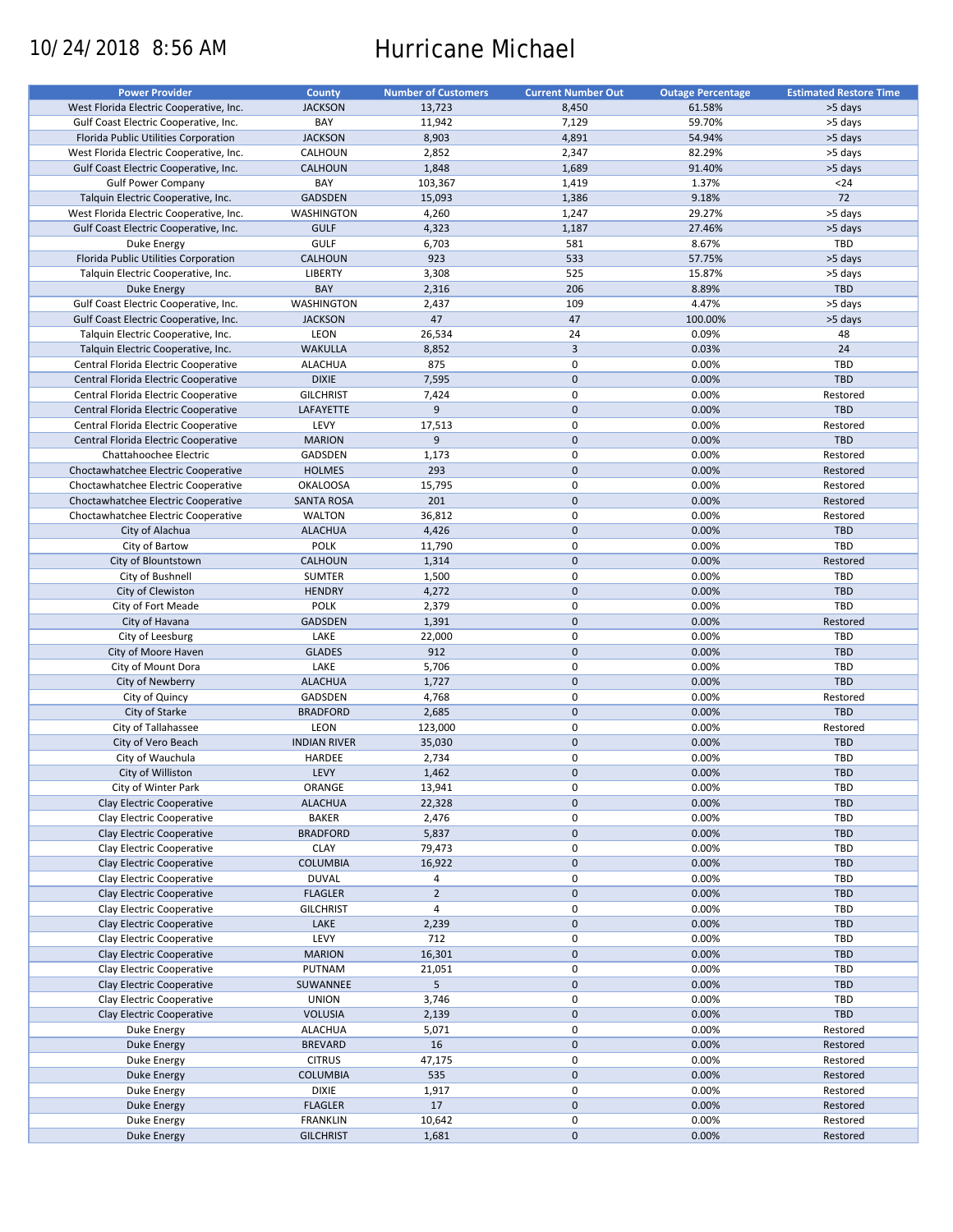# 10/24/2018 8:56 AM Hurricane Michael

| <b>Power Provider</b>                   | <b>County</b>       | <b>Number of Customers</b> | <b>Current Number Out</b> | <b>Outage Percentage</b> | <b>Estimated Restore Time</b> |
|-----------------------------------------|---------------------|----------------------------|---------------------------|--------------------------|-------------------------------|
| West Florida Electric Cooperative, Inc. | <b>JACKSON</b>      | 13,723                     | 8,450                     | 61.58%                   | >5 days                       |
| Gulf Coast Electric Cooperative, Inc.   | BAY                 | 11,942                     | 7,129                     | 59.70%                   | >5 days                       |
| Florida Public Utilities Corporation    | <b>JACKSON</b>      | 8,903                      | 4,891                     | 54.94%                   | >5 days                       |
|                                         |                     |                            |                           |                          |                               |
| West Florida Electric Cooperative, Inc. | CALHOUN             | 2,852                      | 2,347                     | 82.29%                   | >5 days                       |
| Gulf Coast Electric Cooperative, Inc.   | <b>CALHOUN</b>      | 1,848                      | 1,689                     | 91.40%                   | >5 days                       |
| <b>Gulf Power Company</b>               | BAY                 | 103,367                    | 1,419                     | 1.37%                    | $24$                          |
| Talquin Electric Cooperative, Inc.      | <b>GADSDEN</b>      | 15,093                     | 1,386                     | 9.18%                    | 72                            |
| West Florida Electric Cooperative, Inc. | <b>WASHINGTON</b>   | 4,260                      | 1,247                     | 29.27%                   | >5 days                       |
| Gulf Coast Electric Cooperative, Inc.   | <b>GULF</b>         | 4,323                      | 1,187                     | 27.46%                   | >5 days                       |
| Duke Energy                             | <b>GULF</b>         | 6,703                      | 581                       | 8.67%                    | TBD                           |
| Florida Public Utilities Corporation    | <b>CALHOUN</b>      | 923                        | 533                       | 57.75%                   | >5 days                       |
| Talquin Electric Cooperative, Inc.      | LIBERTY             | 3,308                      | 525                       | 15.87%                   | >5 days                       |
| Duke Energy                             | BAY                 | 2,316                      | 206                       | 8.89%                    | TBD                           |
|                                         |                     |                            |                           |                          |                               |
| Gulf Coast Electric Cooperative, Inc.   | <b>WASHINGTON</b>   | 2,437                      | 109                       | 4.47%                    | >5 days                       |
| Gulf Coast Electric Cooperative, Inc.   | <b>JACKSON</b>      | 47                         | 47                        | 100.00%                  | >5 days                       |
| Talquin Electric Cooperative, Inc.      | LEON                | 26,534                     | 24                        | 0.09%                    | 48                            |
| Talquin Electric Cooperative, Inc.      | <b>WAKULLA</b>      | 8,852                      | $\overline{3}$            | 0.03%                    | 24                            |
| Central Florida Electric Cooperative    | <b>ALACHUA</b>      | 875                        | $\mathbf 0$               | 0.00%                    | TBD                           |
| Central Florida Electric Cooperative    | <b>DIXIE</b>        | 7,595                      | $\mathbf 0$               | 0.00%                    | TBD                           |
| Central Florida Electric Cooperative    | <b>GILCHRIST</b>    | 7,424                      | $\mathbf 0$               | 0.00%                    | Restored                      |
| Central Florida Electric Cooperative    | LAFAYETTE           | 9                          | $\mathbf 0$               | 0.00%                    | TBD                           |
| Central Florida Electric Cooperative    | LEVY                | 17,513                     | $\pmb{0}$                 | 0.00%                    | Restored                      |
|                                         |                     | 9                          | $\mathbf 0$               |                          | TBD                           |
| Central Florida Electric Cooperative    | <b>MARION</b>       |                            |                           | 0.00%                    |                               |
| Chattahoochee Electric                  | GADSDEN             | 1,173                      | $\mathbf 0$               | 0.00%                    | Restored                      |
| Choctawhatchee Electric Cooperative     | <b>HOLMES</b>       | 293                        | $\mathbf{0}$              | 0.00%                    | Restored                      |
| Choctawhatchee Electric Cooperative     | <b>OKALOOSA</b>     | 15,795                     | $\mathbf 0$               | 0.00%                    | Restored                      |
| Choctawhatchee Electric Cooperative     | <b>SANTA ROSA</b>   | 201                        | $\mathbf 0$               | 0.00%                    | Restored                      |
| Choctawhatchee Electric Cooperative     | <b>WALTON</b>       | 36,812                     | $\mathbf 0$               | 0.00%                    | Restored                      |
| City of Alachua                         | <b>ALACHUA</b>      | 4,426                      | $\mathbf 0$               | 0.00%                    | TBD                           |
| City of Bartow                          | <b>POLK</b>         | 11,790                     | $\pmb{0}$                 | 0.00%                    | TBD                           |
| City of Blountstown                     | <b>CALHOUN</b>      | 1,314                      | $\mathbf 0$               | 0.00%                    | Restored                      |
|                                         |                     |                            | $\mathbf 0$               |                          |                               |
| City of Bushnell                        | <b>SUMTER</b>       | 1,500                      |                           | 0.00%                    | <b>TBD</b>                    |
| City of Clewiston                       | <b>HENDRY</b>       | 4,272                      | $\mathbf{0}$              | 0.00%                    | <b>TBD</b>                    |
| City of Fort Meade                      | <b>POLK</b>         | 2,379                      | $\pmb{0}$                 | 0.00%                    | TBD                           |
| City of Havana                          | <b>GADSDEN</b>      | 1,391                      | $\mathbf 0$               | 0.00%                    | Restored                      |
| City of Leesburg                        | LAKE                | 22,000                     | 0                         | 0.00%                    | TBD                           |
| City of Moore Haven                     | <b>GLADES</b>       | 912                        | $\mathbf 0$               | 0.00%                    | TBD                           |
| City of Mount Dora                      | LAKE                | 5,706                      | $\pmb{0}$                 | 0.00%                    | TBD                           |
| City of Newberry                        | <b>ALACHUA</b>      | 1,727                      | $\mathbf 0$               | 0.00%                    | TBD                           |
| City of Quincy                          | GADSDEN             | 4,768                      | 0                         | 0.00%                    | Restored                      |
| City of Starke                          | <b>BRADFORD</b>     | 2,685                      | $\mathbf 0$               | 0.00%                    | TBD                           |
|                                         |                     |                            | $\pmb{0}$                 |                          |                               |
| City of Tallahassee                     | LEON                | 123,000                    |                           | 0.00%                    | Restored                      |
| City of Vero Beach                      | <b>INDIAN RIVER</b> | 35,030                     | $\mathbf 0$               | 0.00%                    | TBD                           |
| City of Wauchula                        | HARDEE              | 2,734                      | 0                         | 0.00%                    | <b>TBD</b>                    |
| City of Williston                       | LEVY                | 1,462                      | $\mathbf{0}$              | 0.00%                    | <b>TBD</b>                    |
| City of Winter Park                     | ORANGE              | 13,941                     | 0                         | 0.00%                    | <b>TBD</b>                    |
| Clay Electric Cooperative               | <b>ALACHUA</b>      | 22,328                     | $\pmb{0}$                 | 0.00%                    | TBD                           |
| Clay Electric Cooperative               | <b>BAKER</b>        | 2,476                      | 0                         | 0.00%                    | <b>TBD</b>                    |
| Clay Electric Cooperative               | <b>BRADFORD</b>     | 5,837                      | $\mathbf 0$               | 0.00%                    | <b>TBD</b>                    |
| Clay Electric Cooperative               | <b>CLAY</b>         | 79,473                     | $\pmb{0}$                 | 0.00%                    | <b>TBD</b>                    |
| Clay Electric Cooperative               | COLUMBIA            | 16,922                     | $\pmb{0}$                 | 0.00%                    | <b>TBD</b>                    |
|                                         |                     |                            |                           |                          |                               |
| Clay Electric Cooperative               | <b>DUVAL</b>        | 4                          | 0                         | 0.00%                    | <b>TBD</b>                    |
| Clay Electric Cooperative               | <b>FLAGLER</b>      | $\overline{2}$             | $\mathbf 0$               | 0.00%                    | <b>TBD</b>                    |
| Clay Electric Cooperative               | <b>GILCHRIST</b>    | $\overline{4}$             | $\pmb{0}$                 | 0.00%                    | <b>TBD</b>                    |
| Clay Electric Cooperative               | LAKE                | 2,239                      | $\pmb{0}$                 | 0.00%                    | TBD                           |
| Clay Electric Cooperative               | LEVY                | 712                        | $\pmb{0}$                 | 0.00%                    | TBD                           |
| Clay Electric Cooperative               | <b>MARION</b>       | 16,301                     | $\pmb{0}$                 | 0.00%                    | <b>TBD</b>                    |
| Clay Electric Cooperative               | PUTNAM              | 21,051                     | $\pmb{0}$                 | 0.00%                    | <b>TBD</b>                    |
| Clay Electric Cooperative               | SUWANNEE            | 5                          | $\pmb{0}$                 | 0.00%                    | <b>TBD</b>                    |
| Clay Electric Cooperative               | <b>UNION</b>        | 3,746                      | $\pmb{0}$                 | 0.00%                    | <b>TBD</b>                    |
|                                         |                     |                            |                           |                          |                               |
| Clay Electric Cooperative               | <b>VOLUSIA</b>      | 2,139                      | $\pmb{0}$                 | 0.00%                    | <b>TBD</b>                    |
| Duke Energy                             | <b>ALACHUA</b>      | 5,071                      | $\pmb{0}$                 | 0.00%                    | Restored                      |
| <b>Duke Energy</b>                      | <b>BREVARD</b>      | 16                         | $\pmb{0}$                 | 0.00%                    | Restored                      |
| Duke Energy                             | <b>CITRUS</b>       | 47,175                     | $\pmb{0}$                 | 0.00%                    | Restored                      |
| <b>Duke Energy</b>                      | COLUMBIA            | 535                        | $\pmb{0}$                 | 0.00%                    | Restored                      |
| Duke Energy                             | <b>DIXIE</b>        | 1,917                      | 0                         | 0.00%                    | Restored                      |
| Duke Energy                             | <b>FLAGLER</b>      | 17                         | $\pmb{0}$                 | 0.00%                    | Restored                      |
| Duke Energy                             | <b>FRANKLIN</b>     | 10,642                     | 0                         | 0.00%                    | Restored                      |
| Duke Energy                             | <b>GILCHRIST</b>    | 1,681                      | $\pmb{0}$                 | 0.00%                    | Restored                      |
|                                         |                     |                            |                           |                          |                               |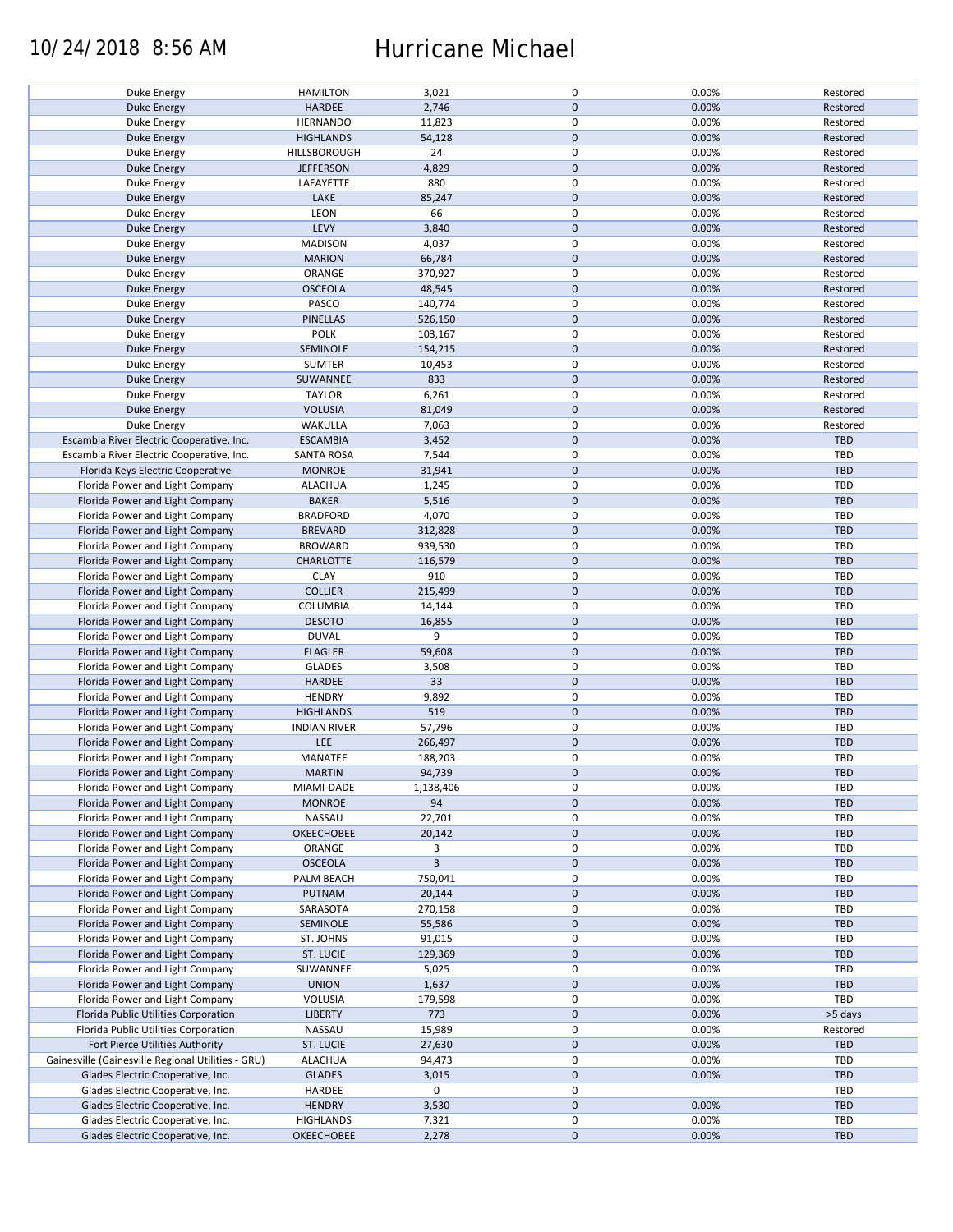## 10/24/2018 8:56 AM Hurricane Michael

| Duke Energy                                        | <b>HAMILTON</b>     | 3,021       | 0            | 0.00% | Restored   |
|----------------------------------------------------|---------------------|-------------|--------------|-------|------------|
|                                                    |                     |             |              |       |            |
| <b>Duke Energy</b>                                 | HARDEE              | 2,746       | $\mathbf{0}$ | 0.00% | Restored   |
| Duke Energy                                        | <b>HERNANDO</b>     | 11,823      | 0            | 0.00% | Restored   |
| Duke Energy                                        | <b>HIGHLANDS</b>    | 54,128      | $\mathbf 0$  | 0.00% | Restored   |
| <b>Duke Energy</b>                                 | HILLSBOROUGH        | 24          | 0            | 0.00% | Restored   |
| Duke Energy                                        | <b>JEFFERSON</b>    | 4,829       | $\mathbf 0$  | 0.00% | Restored   |
|                                                    |                     |             |              |       |            |
| Duke Energy                                        | LAFAYETTE           | 880         | 0            | 0.00% | Restored   |
| <b>Duke Energy</b>                                 | LAKE                | 85,247      | $\mathbf 0$  | 0.00% | Restored   |
| <b>Duke Energy</b>                                 | LEON                | 66          | $\mathsf 0$  | 0.00% | Restored   |
| <b>Duke Energy</b>                                 | LEVY                | 3,840       | $\mathbf 0$  | 0.00% | Restored   |
|                                                    | <b>MADISON</b>      | 4,037       | 0            | 0.00% | Restored   |
| Duke Energy                                        |                     |             |              |       |            |
| <b>Duke Energy</b>                                 | <b>MARION</b>       | 66,784      | $\mathbf 0$  | 0.00% | Restored   |
| Duke Energy                                        | ORANGE              | 370,927     | 0            | 0.00% | Restored   |
| <b>Duke Energy</b>                                 | <b>OSCEOLA</b>      | 48,545      | $\mathbf 0$  | 0.00% | Restored   |
| Duke Energy                                        | PASCO               | 140,774     | 0            | 0.00% | Restored   |
|                                                    | <b>PINELLAS</b>     | 526,150     | $\mathbf 0$  | 0.00% | Restored   |
| <b>Duke Energy</b>                                 |                     |             |              |       |            |
| <b>Duke Energy</b>                                 | <b>POLK</b>         | 103,167     | $\mathbf 0$  | 0.00% | Restored   |
| <b>Duke Energy</b>                                 | SEMINOLE            | 154,215     | $\mathbf 0$  | 0.00% | Restored   |
| Duke Energy                                        | <b>SUMTER</b>       | 10,453      | 0            | 0.00% | Restored   |
| Duke Energy                                        | SUWANNEE            | 833         | $\mathbf 0$  | 0.00% | Restored   |
|                                                    | <b>TAYLOR</b>       | 6,261       | $\mathsf 0$  | 0.00% | Restored   |
| Duke Energy                                        |                     |             |              |       |            |
| <b>Duke Energy</b>                                 | <b>VOLUSIA</b>      | 81,049      | $\mathbf 0$  | 0.00% | Restored   |
| Duke Energy                                        | WAKULLA             | 7,063       | 0            | 0.00% | Restored   |
| Escambia River Electric Cooperative, Inc.          | <b>ESCAMBIA</b>     | 3,452       | $\mathbf 0$  | 0.00% | TBD        |
| Escambia River Electric Cooperative, Inc.          | <b>SANTA ROSA</b>   | 7,544       | $\mathsf 0$  | 0.00% | TBD        |
| Florida Keys Electric Cooperative                  | <b>MONROE</b>       | 31,941      | $\mathbf 0$  | 0.00% | TBD        |
|                                                    |                     |             |              |       |            |
| Florida Power and Light Company                    | <b>ALACHUA</b>      | 1,245       | 0            | 0.00% | TBD        |
| Florida Power and Light Company                    | <b>BAKER</b>        | 5,516       | $\mathbf 0$  | 0.00% | TBD        |
| Florida Power and Light Company                    | <b>BRADFORD</b>     | 4,070       | $\mathsf 0$  | 0.00% | TBD        |
| Florida Power and Light Company                    | <b>BREVARD</b>      | 312,828     | 0            | 0.00% | TBD        |
|                                                    |                     |             | 0            |       |            |
| Florida Power and Light Company                    | <b>BROWARD</b>      | 939,530     |              | 0.00% | TBD        |
| Florida Power and Light Company                    | <b>CHARLOTTE</b>    | 116,579     | $\mathbf 0$  | 0.00% | <b>TBD</b> |
| Florida Power and Light Company                    | <b>CLAY</b>         | 910         | $\mathsf 0$  | 0.00% | TBD        |
| Florida Power and Light Company                    | <b>COLLIER</b>      | 215,499     | 0            | 0.00% | <b>TBD</b> |
| Florida Power and Light Company                    | COLUMBIA            | 14,144      | 0            | 0.00% | TBD        |
|                                                    |                     |             | $\mathbf 0$  |       |            |
| Florida Power and Light Company                    | <b>DESOTO</b>       | 16,855      |              | 0.00% | TBD        |
| Florida Power and Light Company                    | <b>DUVAL</b>        | 9           | $\mathbf 0$  | 0.00% | TBD        |
| Florida Power and Light Company                    | <b>FLAGLER</b>      | 59,608      | $\pmb{0}$    | 0.00% | TBD        |
| Florida Power and Light Company                    | <b>GLADES</b>       | 3,508       | 0            | 0.00% | TBD        |
| Florida Power and Light Company                    | HARDEE              | 33          | $\mathbf 0$  | 0.00% | TBD        |
| Florida Power and Light Company                    |                     |             | $\mathbf 0$  |       |            |
|                                                    | <b>HENDRY</b>       | 9,892       |              | 0.00% | TBD        |
| Florida Power and Light Company                    | <b>HIGHLANDS</b>    | 519         | $\mathbf 0$  | 0.00% | TBD        |
| Florida Power and Light Company                    | <b>INDIAN RIVER</b> | 57,796      | 0            | 0.00% | TBD        |
| Florida Power and Light Company                    | LEE                 | 266,497     | $\mathbf 0$  | 0.00% | TBD        |
| Florida Power and Light Company                    | MANATEE             | 188,203     | $\mathsf 0$  | 0.00% | TBD        |
|                                                    |                     |             | $\Omega$     |       |            |
| Florida Power and Light Company                    | <b>MARTIN</b>       | 94,739      |              | 0.00% | <b>TBD</b> |
| Florida Power and Light Company                    | MIAMI-DADE          | 1,138,406   | 0            | 0.00% | TBD        |
| Florida Power and Light Company                    | <b>MONROE</b>       | 94          | $\mathbf 0$  | 0.00% | TBD        |
| Florida Power and Light Company                    | NASSAU              | 22,701      | 0            | 0.00% | TBD        |
| Florida Power and Light Company                    | <b>OKEECHOBEE</b>   | 20,142      | $\mathbf 0$  | 0.00% | TBD        |
|                                                    |                     |             | 0            |       | TBD        |
| Florida Power and Light Company                    | ORANGE              | 3           |              | 0.00% |            |
| Florida Power and Light Company                    | <b>OSCEOLA</b>      | $\mathsf 3$ | $\mathbf 0$  | 0.00% | TBD        |
| Florida Power and Light Company                    | PALM BEACH          | 750,041     | 0            | 0.00% | TBD        |
| Florida Power and Light Company                    | PUTNAM              | 20,144      | $\mathbf 0$  | 0.00% | TBD        |
| Florida Power and Light Company                    | SARASOTA            | 270,158     | 0            | 0.00% | TBD        |
|                                                    |                     |             |              |       |            |
| Florida Power and Light Company                    | SEMINOLE            | 55,586      | $\mathbf 0$  | 0.00% | TBD        |
| Florida Power and Light Company                    | ST. JOHNS           | 91,015      | 0            | 0.00% | TBD        |
| Florida Power and Light Company                    | ST. LUCIE           | 129,369     | $\mathbf 0$  | 0.00% | TBD        |
| Florida Power and Light Company                    | SUWANNEE            | 5,025       | 0            | 0.00% | TBD        |
| Florida Power and Light Company                    | <b>UNION</b>        | 1,637       | $\mathbf 0$  | 0.00% | TBD        |
|                                                    |                     |             |              |       |            |
| Florida Power and Light Company                    | VOLUSIA             | 179,598     | 0            | 0.00% | TBD        |
| Florida Public Utilities Corporation               | <b>LIBERTY</b>      | 773         | $\mathbf 0$  | 0.00% | >5 days    |
| Florida Public Utilities Corporation               | NASSAU              | 15,989      | 0            | 0.00% | Restored   |
| Fort Pierce Utilities Authority                    | <b>ST. LUCIE</b>    | 27,630      | $\mathbf 0$  | 0.00% | TBD        |
| Gainesville (Gainesville Regional Utilities - GRU) | <b>ALACHUA</b>      | 94,473      | 0            | 0.00% | TBD        |
|                                                    |                     |             |              |       |            |
| Glades Electric Cooperative, Inc.                  | <b>GLADES</b>       | 3,015       | $\mathbf 0$  | 0.00% | TBD        |
| Glades Electric Cooperative, Inc.                  | HARDEE              | 0           | 0            |       | TBD        |
| Glades Electric Cooperative, Inc.                  | <b>HENDRY</b>       | 3,530       | 0            | 0.00% | TBD        |
| Glades Electric Cooperative, Inc.                  | <b>HIGHLANDS</b>    | 7,321       | 0            | 0.00% | TBD        |
| Glades Electric Cooperative, Inc.                  | OKEECHOBEE          | 2,278       | $\mathbf 0$  | 0.00% | TBD        |
|                                                    |                     |             |              |       |            |